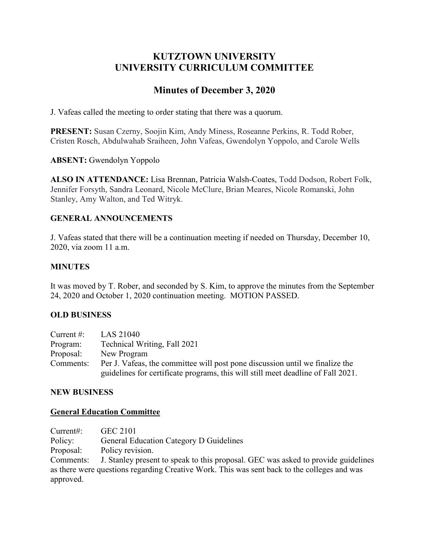## **KUTZTOWN UNIVERSITY UNIVERSITY CURRICULUM COMMITTEE**

# **Minutes of December 3, 2020**

J. Vafeas called the meeting to order stating that there was a quorum.

**PRESENT:** Susan Czerny, Soojin Kim, Andy Miness, Roseanne Perkins, R. Todd Rober, Cristen Rosch, Abdulwahab Sraiheen, John Vafeas, Gwendolyn Yoppolo, and Carole Wells

**ABSENT:** Gwendolyn Yoppolo

**ALSO IN ATTENDANCE:** Lisa Brennan, Patricia Walsh-Coates, Todd Dodson, Robert Folk, Jennifer Forsyth, Sandra Leonard, Nicole McClure, Brian Meares, Nicole Romanski, John Stanley, Amy Walton, and Ted Witryk.

## **GENERAL ANNOUNCEMENTS**

J. Vafeas stated that there will be a continuation meeting if needed on Thursday, December 10, 2020, via zoom 11 a.m.

## **MINUTES**

It was moved by T. Rober, and seconded by S. Kim, to approve the minutes from the September 24, 2020 and October 1, 2020 continuation meeting. MOTION PASSED.

## **OLD BUSINESS**

| Current $\#$ : | LAS 21040                                                                        |
|----------------|----------------------------------------------------------------------------------|
| Program:       | Technical Writing, Fall 2021                                                     |
| Proposal:      | New Program                                                                      |
| Comments:      | Per J. Vafeas, the committee will post pone discussion until we finalize the     |
|                | guidelines for certificate programs, this will still meet deadline of Fall 2021. |

#### **NEW BUSINESS**

#### **General Education Committee**

Current#: GEC 2101 Policy: General Education Category D Guidelines Proposal: Policy revision. Comments: J. Stanley present to speak to this proposal. GEC was asked to provide guidelines as there were questions regarding Creative Work. This was sent back to the colleges and was approved.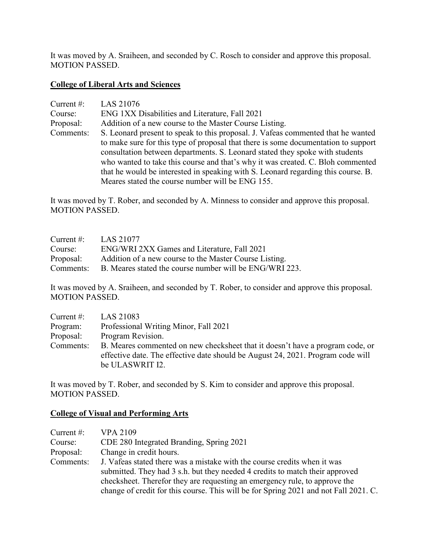It was moved by A. Sraiheen, and seconded by C. Rosch to consider and approve this proposal. MOTION PASSED.

#### **College of Liberal Arts and Sciences**

| Current $#$ : | LAS 21076                                                                                                                                                          |
|---------------|--------------------------------------------------------------------------------------------------------------------------------------------------------------------|
| Course:       | ENG 1XX Disabilities and Literature, Fall 2021                                                                                                                     |
| Proposal:     | Addition of a new course to the Master Course Listing.                                                                                                             |
| Comments:     | S. Leonard present to speak to this proposal. J. Vafeas commented that he wanted                                                                                   |
|               | to make sure for this type of proposal that there is some documentation to support<br>consultation between departments. S. Leonard stated they spoke with students |
|               | who wanted to take this course and that's why it was created. C. Bloh commented                                                                                    |
|               | that he would be interested in speaking with S. Leonard regarding this course. B.                                                                                  |
|               | Meares stated the course number will be ENG 155.                                                                                                                   |

It was moved by T. Rober, and seconded by A. Minness to consider and approve this proposal. MOTION PASSED.

| Current $\#$ : | LAS 21077                                               |
|----------------|---------------------------------------------------------|
| Course:        | ENG/WRI 2XX Games and Literature, Fall 2021             |
| Proposal:      | Addition of a new course to the Master Course Listing.  |
| Comments:      | B. Meares stated the course number will be ENG/WRI 223. |

It was moved by A. Sraiheen, and seconded by T. Rober, to consider and approve this proposal. MOTION PASSED.

| Current $#$ : | LAS 21083                                                                                                                                                                           |
|---------------|-------------------------------------------------------------------------------------------------------------------------------------------------------------------------------------|
| Program:      | Professional Writing Minor, Fall 2021                                                                                                                                               |
| Proposal:     | Program Revision.                                                                                                                                                                   |
| Comments:     | B. Meares commented on new checksheet that it doesn't have a program code, or<br>effective date. The effective date should be August 24, 2021. Program code will<br>be ULASWRIT I2. |

It was moved by T. Rober, and seconded by S. Kim to consider and approve this proposal. MOTION PASSED.

# **College of Visual and Performing Arts**

| Current $\#$ : | <b>VPA 2109</b>                                                                      |
|----------------|--------------------------------------------------------------------------------------|
| Course:        | CDE 280 Integrated Branding, Spring 2021                                             |
| Proposal:      | Change in credit hours.                                                              |
| Comments:      | J. Vafeas stated there was a mistake with the course credits when it was             |
|                | submitted. They had 3 s.h. but they needed 4 credits to match their approved         |
|                | checksheet. Therefor they are requesting an emergency rule, to approve the           |
|                | change of credit for this course. This will be for Spring 2021 and not Fall 2021. C. |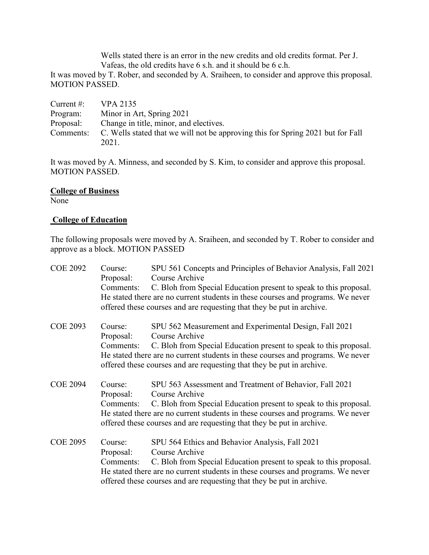Wells stated there is an error in the new credits and old credits format. Per J. Vafeas, the old credits have 6 s.h. and it should be 6 c.h.

It was moved by T. Rober, and seconded by A. Sraiheen, to consider and approve this proposal. MOTION PASSED.

| Current $#$ : | VPA 2135                                                                        |
|---------------|---------------------------------------------------------------------------------|
| Program:      | Minor in Art, Spring 2021                                                       |
| Proposal:     | Change in title, minor, and electives.                                          |
| Comments:     | C. Wells stated that we will not be approving this for Spring 2021 but for Fall |
|               | 2021.                                                                           |

It was moved by A. Minness, and seconded by S. Kim, to consider and approve this proposal. MOTION PASSED.

## **College of Business**

None

#### **College of Education**

The following proposals were moved by A. Sraiheen, and seconded by T. Rober to consider and approve as a block. MOTION PASSED

| <b>COE 2092</b> | Course:<br>Proposal: | SPU 561 Concepts and Principles of Behavior Analysis, Fall 2021<br>Course Archive                                                                                                                                             |
|-----------------|----------------------|-------------------------------------------------------------------------------------------------------------------------------------------------------------------------------------------------------------------------------|
|                 | Comments:            | C. Bloh from Special Education present to speak to this proposal.                                                                                                                                                             |
|                 |                      | He stated there are no current students in these courses and programs. We never<br>offered these courses and are requesting that they be put in archive.                                                                      |
|                 |                      |                                                                                                                                                                                                                               |
| <b>COE 2093</b> | Course:<br>Proposal: | SPU 562 Measurement and Experimental Design, Fall 2021<br>Course Archive                                                                                                                                                      |
|                 | Comments:            | C. Bloh from Special Education present to speak to this proposal.<br>He stated there are no current students in these courses and programs. We never<br>offered these courses and are requesting that they be put in archive. |
| <b>COE 2094</b> | Course:<br>Proposal: | SPU 563 Assessment and Treatment of Behavior, Fall 2021<br>Course Archive                                                                                                                                                     |
|                 | Comments:            | C. Bloh from Special Education present to speak to this proposal.<br>He stated there are no current students in these courses and programs. We never<br>offered these courses and are requesting that they be put in archive. |
| <b>COE 2095</b> | Course:              | SPU 564 Ethics and Behavior Analysis, Fall 2021                                                                                                                                                                               |
|                 | Proposal:            | Course Archive                                                                                                                                                                                                                |
|                 | Comments:            | C. Bloh from Special Education present to speak to this proposal.                                                                                                                                                             |
|                 |                      | He stated there are no current students in these courses and programs. We never<br>offered these courses and are requesting that they be put in archive.                                                                      |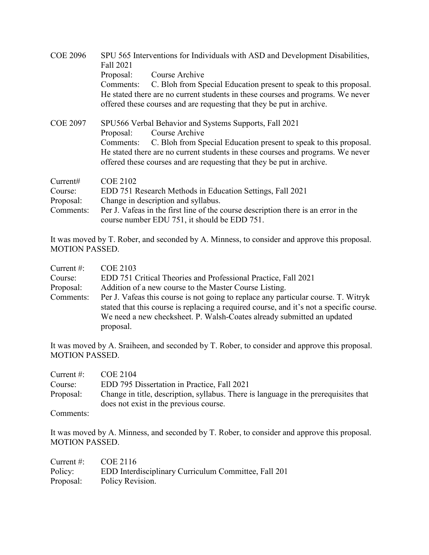| <b>COE 2096</b> | SPU 565 Interventions for Individuals with ASD and Development Disabilities,<br>Fall 2021                                                                |
|-----------------|----------------------------------------------------------------------------------------------------------------------------------------------------------|
|                 | Course Archive<br>Proposal:                                                                                                                              |
|                 | C. Bloh from Special Education present to speak to this proposal.<br>Comments:                                                                           |
|                 | He stated there are no current students in these courses and programs. We never                                                                          |
|                 | offered these courses and are requesting that they be put in archive.                                                                                    |
| <b>COE 2097</b> | SPU566 Verbal Behavior and Systems Supports, Fall 2021                                                                                                   |
|                 | Course Archive<br>Proposal:                                                                                                                              |
|                 | C. Bloh from Special Education present to speak to this proposal.<br>Comments:                                                                           |
|                 | He stated there are no current students in these courses and programs. We never<br>offered these courses and are requesting that they be put in archive. |
| Current#        | <b>COE 2102</b>                                                                                                                                          |
| Course:         | EDD 751 Research Methods in Education Settings, Fall 2021                                                                                                |
| Proposal:       | Change in description and syllabus.                                                                                                                      |
| Comments:       | Per J. Vafeas in the first line of the course description there is an error in the<br>course number EDU 751, it should be EDD 751.                       |

It was moved by T. Rober, and seconded by A. Minness, to consider and approve this proposal. MOTION PASSED.

| Current $#$ : | <b>COE 2103</b>                                                                                                                                                                                                                                         |
|---------------|---------------------------------------------------------------------------------------------------------------------------------------------------------------------------------------------------------------------------------------------------------|
| Course:       | EDD 751 Critical Theories and Professional Practice, Fall 2021                                                                                                                                                                                          |
| Proposal:     | Addition of a new course to the Master Course Listing.                                                                                                                                                                                                  |
| Comments:     | Per J. Vafeas this course is not going to replace any particular course. T. Witryk<br>stated that this course is replacing a required course, and it's not a specific course.<br>We need a new checksheet. P. Walsh-Coates already submitted an updated |
|               | proposal.                                                                                                                                                                                                                                               |

It was moved by A. Sraiheen, and seconded by T. Rober, to consider and approve this proposal. MOTION PASSED.

| Current $\#$ : | COE 2104                                                                                                                      |
|----------------|-------------------------------------------------------------------------------------------------------------------------------|
| Course:        | EDD 795 Dissertation in Practice, Fall 2021                                                                                   |
| Proposal:      | Change in title, description, syllabus. There is language in the prerequisites that<br>does not exist in the previous course. |

Comments:

It was moved by A. Minness, and seconded by T. Rober, to consider and approve this proposal. MOTION PASSED.

| Current #: $COE 2116$ |                                                      |
|-----------------------|------------------------------------------------------|
| Policy:               | EDD Interdisciplinary Curriculum Committee, Fall 201 |
| Proposal:             | Policy Revision.                                     |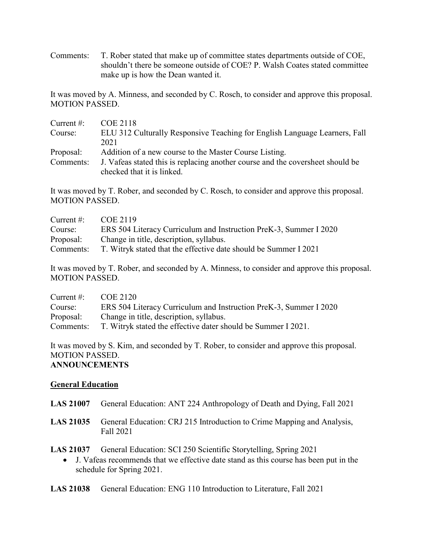Comments: T. Rober stated that make up of committee states departments outside of COE, shouldn't there be someone outside of COE? P. Walsh Coates stated committee make up is how the Dean wanted it.

It was moved by A. Minness, and seconded by C. Rosch, to consider and approve this proposal. MOTION PASSED.

| Current $#$ : | <b>COE 2118</b>                                                                                              |
|---------------|--------------------------------------------------------------------------------------------------------------|
| Course:       | ELU 312 Culturally Responsive Teaching for English Language Learners, Fall                                   |
|               | 2021                                                                                                         |
| Proposal:     | Addition of a new course to the Master Course Listing.                                                       |
| Comments:     | J. Vafeas stated this is replacing another course and the coversheet should be<br>checked that it is linked. |
|               |                                                                                                              |

It was moved by T. Rober, and seconded by C. Rosch, to consider and approve this proposal. MOTION PASSED.

| Current $\#$ : | COE 2119                                                          |
|----------------|-------------------------------------------------------------------|
| Course:        | ERS 504 Literacy Curriculum and Instruction PreK-3, Summer I 2020 |
| Proposal:      | Change in title, description, syllabus.                           |
| Comments:      | T. Witryk stated that the effective date should be Summer I 2021  |

It was moved by T. Rober, and seconded by A. Minness, to consider and approve this proposal. MOTION PASSED.

| Current $\#$ : | COE 2120                                                          |
|----------------|-------------------------------------------------------------------|
| Course:        | ERS 504 Literacy Curriculum and Instruction PreK-3, Summer I 2020 |
| Proposal:      | Change in title, description, syllabus.                           |
| Comments:      | T. Witryk stated the effective dater should be Summer I 2021.     |

It was moved by S. Kim, and seconded by T. Rober, to consider and approve this proposal. MOTION PASSED. **ANNOUNCEMENTS**

#### **General Education**

- **LAS 21007** General Education: ANT 224 Anthropology of Death and Dying, Fall 2021
- **LAS 21035** General Education: CRJ 215 Introduction to Crime Mapping and Analysis, Fall 2021

**LAS 21037** General Education: SCI 250 Scientific Storytelling, Spring 2021

- J. Vafeas recommends that we effective date stand as this course has been put in the schedule for Spring 2021.
- **LAS 21038** General Education: ENG 110 Introduction to Literature, Fall 2021